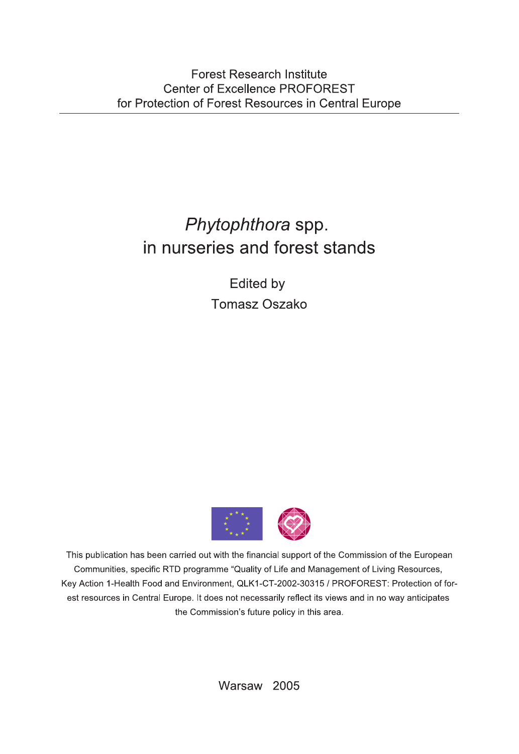## Phytophthora spp. in nurseries and forest stands

Edited by **Tomasz Oszako** 



This publication has been carried out with the financial support of the Commission of the European Communities, specific RTD programme "Quality of Life and Management of Living Resources, Key Action 1-Health Food and Environment, QLK1-CT-2002-30315 / PROFOREST: Protection of forest resources in Central Europe. It does not necessarily reflect its views and in no way anticipates the Commission's future policy in this area.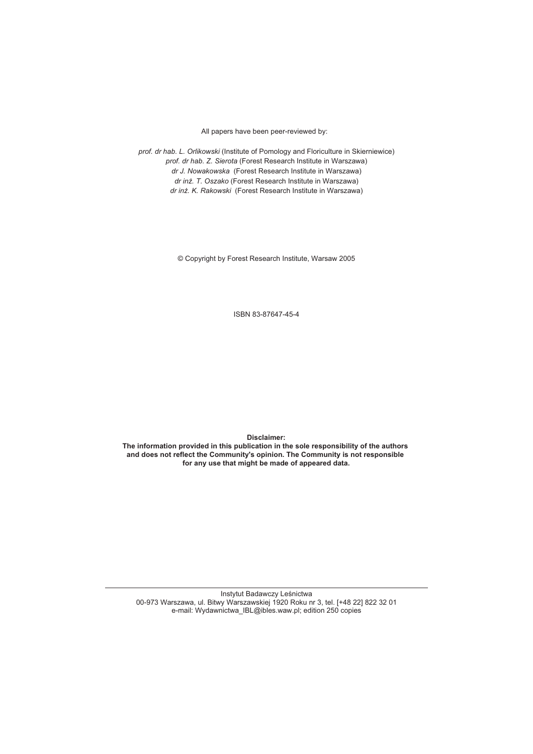All papers have been peer-reviewed by:

*prof. dr hab. L. Orlikowski* (Institute of Pomology and Floriculture in Skierniewice) *prof. dr hab. Z. Sierota* (Forest Research Institute in Warszawa) *dr J. Nowakowska* (Forest Research Institute in Warszawa) *dr in¿. T. Oszako* (Forest Research Institute in Warszawa) *dr in¿. K. Rakowski* (Forest Research Institute in Warszawa)

© Copyright by Forest Research Institute, Warsaw 2005

ISBN 83-87647-45-4

**Disclaimer:**

**The information provided in this publication in the sole responsibility of the authors and does not reflect the Community's opinion. The Community is not responsible for any use that might be made of appeared data.**

Instytut Badawczy Leśnictwa 00-973 Warszawa, ul. Bitwy Warszawskiej 1920 Roku nr 3, tel. [+48 22] 822 32 01 e-mail: Wydawnictwa\_IBL@ibles.waw.pl; edition 250 copies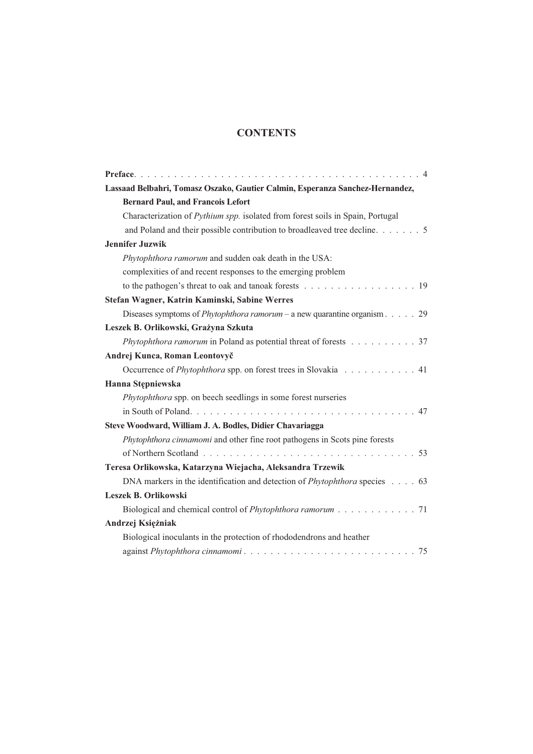## **CONTENTS**

| Lassaad Belbahri, Tomasz Oszako, Gautier Calmin, Esperanza Sanchez-Hernandez,               |
|---------------------------------------------------------------------------------------------|
| <b>Bernard Paul, and Francois Lefort</b>                                                    |
| Characterization of Pythium spp. isolated from forest soils in Spain, Portugal              |
| and Poland and their possible contribution to broadleaved tree decline. 5                   |
| <b>Jennifer Juzwik</b>                                                                      |
| Phytophthora ramorum and sudden oak death in the USA:                                       |
| complexities of and recent responses to the emerging problem                                |
|                                                                                             |
| Stefan Wagner, Katrin Kaminski, Sabine Werres                                               |
| Diseases symptoms of <i>Phytophthora ramorum</i> – a new quarantine organism. $\ldots$ . 29 |
| Leszek B. Orlikowski, Grażyna Szkuta                                                        |
| Phytophthora ramorum in Poland as potential threat of forests 37                            |
| Andrej Kunca, Roman Leontovyč                                                               |
| Occurrence of <i>Phytophthora</i> spp. on forest trees in Slovakia 41                       |
| Hanna Stępniewska                                                                           |
| Phytophthora spp. on beech seedlings in some forest nurseries                               |
|                                                                                             |
| Steve Woodward, William J. A. Bodles, Didier Chavariagga                                    |
| Phytophthora cinnamomi and other fine root pathogens in Scots pine forests                  |
|                                                                                             |
| Teresa Orlikowska, Katarzyna Wiejacha, Aleksandra Trzewik                                   |
| DNA markers in the identification and detection of <i>Phytophthora</i> species 63           |
| Leszek B. Orlikowski                                                                        |
| Biological and chemical control of Phytophthora ramorum 71                                  |
| Andrzej Księżniak                                                                           |
| Biological inoculants in the protection of rhododendrons and heather                        |
|                                                                                             |